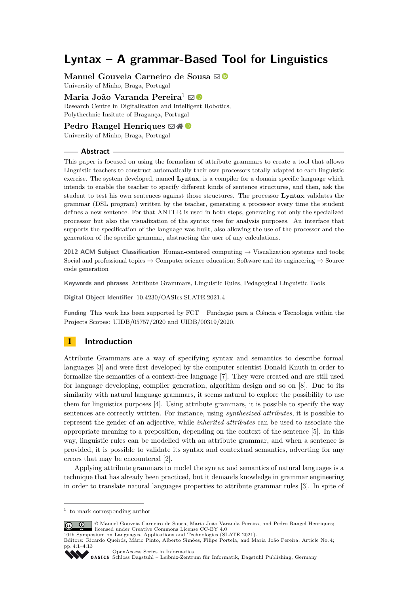# **Lyntax – A grammar-Based Tool for Linguistics**

**Manuel Gouveia Carneiro de Sousa** ⊠<sup>®</sup> University of Minho, Braga, Portugal

**Maria João Varanda Pereira<sup>1</sup> ⊠ ®** Research Centre in Digitalization and Intelligent Robotics, Polythechnic Insitute of Bragança, Portugal

**Pedro Rangel Henriques** ⊠ N

University of Minho, Braga, Portugal

#### **Abstract**

This paper is focused on using the formalism of attribute grammars to create a tool that allows Linguistic teachers to construct automatically their own processors totally adapted to each linguistic exercise. The system developed, named **Lyntax**, is a compiler for a domain specific language which intends to enable the teacher to specify different kinds of sentence structures, and then, ask the student to test his own sentences against those structures. The processor **Lyntax** validates the grammar (DSL program) written by the teacher, generating a processor every time the student defines a new sentence. For that ANTLR is used in both steps, generating not only the specialized processor but also the visualization of the syntax tree for analysis purposes. An interface that supports the specification of the language was built, also allowing the use of the processor and the generation of the specific grammar, abstracting the user of any calculations.

**2012 ACM Subject Classification** Human-centered computing → Visualization systems and tools; Social and professional topics  $\rightarrow$  Computer science education; Software and its engineering  $\rightarrow$  Source code generation

**Keywords and phrases** Attribute Grammars, Linguistic Rules, Pedagogical Linguistic Tools

**Digital Object Identifier** [10.4230/OASIcs.SLATE.2021.4](https://doi.org/10.4230/OASIcs.SLATE.2021.4)

**Funding** This work has been supported by FCT – Fundação para a Ciência e Tecnologia within the Projects Scopes: UIDB/05757/2020 and UIDB/00319/2020.

## **1 Introduction**

Attribute Grammars are a way of specifying syntax and semantics to describe formal languages [\[3\]](#page-12-0) and were first developed by the computer scientist Donald Knuth in order to formalize the semantics of a context-free language [\[7\]](#page-12-1). They were created and are still used for language developing, compiler generation, algorithm design and so on [\[8\]](#page-12-2). Due to its similarity with natural language grammars, it seems natural to explore the possibility to use them for linguistics purposes [\[4\]](#page-12-3). Using attribute grammars, it is possible to specify the way sentences are correctly written. For instance, using *synthesized attributes*, it is possible to represent the gender of an adjective, while *inherited attributes* can be used to associate the appropriate meaning to a preposition, depending on the context of the sentence [\[5\]](#page-12-4). In this way, linguistic rules can be modelled with an attribute grammar, and when a sentence is provided, it is possible to validate its syntax and contextual semantics, adverting for any errors that may be encountered [\[2\]](#page-12-5).

Applying attribute grammars to model the syntax and semantics of natural languages is a technique that has already been practiced, but it demands knowledge in grammar engineering in order to translate natural languages properties to attribute grammar rules [\[3\]](#page-12-0). In spite of

10th Symposium on Languages, Applications and Technologies (SLATE 2021). Editors: Ricardo Queirós, Mário Pinto, Alberto Simões, Filipe Portela, and Maria João Pereira; Article No. 4;



[OpenAccess Series in Informatics](https://www.dagstuhl.de/oasics/)

<sup>1</sup> to mark corresponding author

<sup>©</sup> Manuel Gouveia Carneiro de Sousa, Maria João Varanda Pereira, and Pedro Rangel Henriques;  $\boxed{6}$   $\boxed{0}$ licensed under Creative Commons License CC-BY 4.0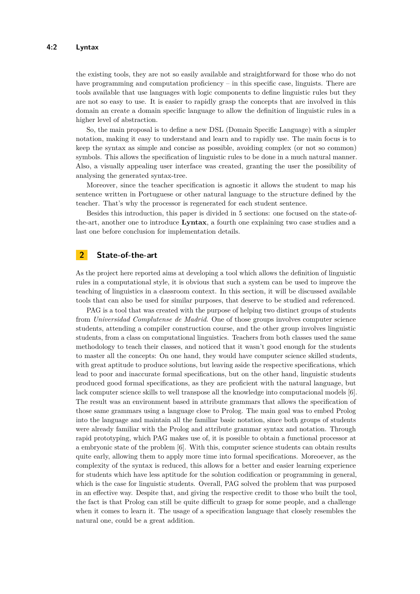the existing tools, they are not so easily available and straightforward for those who do not have programming and computation proficiency – in this specific case, linguists. There are tools available that use languages with logic components to define linguistic rules but they are not so easy to use. It is easier to rapidly grasp the concepts that are involved in this domain an create a domain specific language to allow the definition of linguistic rules in a higher level of abstraction.

So, the main proposal is to define a new DSL (Domain Specific Language) with a simpler notation, making it easy to understand and learn and to rapidly use. The main focus is to keep the syntax as simple and concise as possible, avoiding complex (or not so common) symbols. This allows the specification of linguistic rules to be done in a much natural manner. Also, a visually appealing user interface was created, granting the user the possibility of analysing the generated syntax-tree.

Moreover, since the teacher specification is agnostic it allows the student to map his sentence written in Portuguese or other natural language to the structure defined by the teacher. That's why the processor is regenerated for each student sentence.

Besides this introduction, this paper is divided in 5 sections: one focused on the state-ofthe-art, another one to introduce **Lyntax**, a fourth one explaining two case studies and a last one before conclusion for implementation details.

### **2 State-of-the-art**

As the project here reported aims at developing a tool which allows the definition of linguistic rules in a computational style, it is obvious that such a system can be used to improve the teaching of linguistics in a classroom context. In this section, it will be discussed available tools that can also be used for similar purposes, that deserve to be studied and referenced.

PAG is a tool that was created with the purpose of helping two distinct groups of students from *Universidad Complutense de Madrid*. One of those groups involves computer science students, attending a compiler construction course, and the other group involves linguistic students, from a class on computational linguistics. Teachers from both classes used the same methodology to teach their classes, and noticed that it wasn't good enough for the students to master all the concepts: On one hand, they would have computer science skilled students, with great aptitude to produce solutions, but leaving aside the respective specifications, which lead to poor and inaccurate formal specifications, but on the other hand, linguistic students produced good formal specifications, as they are proficient with the natural language, but lack computer science skills to well transpose all the knowledge into computacional models [\[6\]](#page-12-6). The result was an environment based in attribute grammars that allows the specification of those same grammars using a language close to Prolog. The main goal was to embed Prolog into the language and maintain all the familiar basic notation, since both groups of students were already familiar with the Prolog and attribute grammar syntax and notation. Through rapid prototyping, which PAG makes use of, it is possible to obtain a functional processor at a embryonic state of the problem [\[6\]](#page-12-6). With this, computer science students can obtain results quite early, allowing them to apply more time into formal specifications. Moreoever, as the complexity of the syntax is reduced, this allows for a better and easier learning experience for students which have less aptitude for the solution codification or programming in general, which is the case for linguistic students. Overall, PAG solved the problem that was purposed in an effective way. Despite that, and giving the respective credit to those who built the tool, the fact is that Prolog can still be quite difficult to grasp for some people, and a challenge when it comes to learn it. The usage of a specification language that closely resembles the natural one, could be a great addition.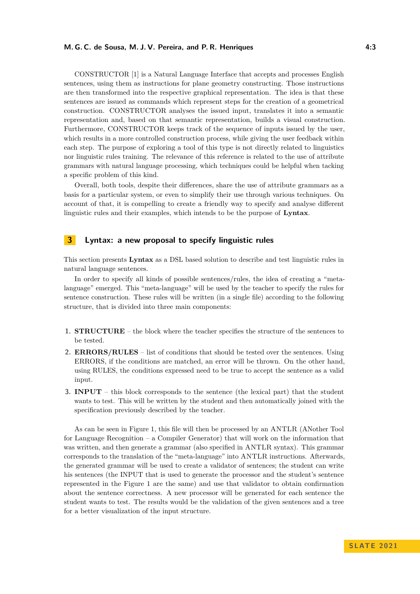#### **M. G. C. de Sousa, M. J. V. Pereira, and P. R. Henriques 4:3**

CONSTRUCTOR [\[1\]](#page-12-7) is a Natural Language Interface that accepts and processes English sentences, using them as instructions for plane geometry constructing. Those instructions are then transformed into the respective graphical representation. The idea is that these sentences are issued as commands which represent steps for the creation of a geometrical construction. CONSTRUCTOR analyses the issued input, translates it into a semantic representation and, based on that semantic representation, builds a visual construction. Furthermore, CONSTRUCTOR keeps track of the sequence of inputs issued by the user, which results in a more controlled construction process, while giving the user feedback within each step. The purpose of exploring a tool of this type is not directly related to linguistics nor linguistic rules training. The relevance of this reference is related to the use of attribute grammars with natural language processing, which techniques could be helpful when tacking a specific problem of this kind.

Overall, both tools, despite their differences, share the use of attribute grammars as a basis for a particular system, or even to simplify their use through various techniques. On account of that, it is compelling to create a friendly way to specify and analyse different linguistic rules and their examples, which intends to be the purpose of **Lyntax**.

### **3 Lyntax: a new proposal to specify linguistic rules**

This section presents **Lyntax** as a DSL based solution to describe and test linguistic rules in natural language sentences.

In order to specify all kinds of possible sentences/rules, the idea of creating a "metalanguage" emerged. This "meta-language" will be used by the teacher to specify the rules for sentence construction. These rules will be written (in a single file) according to the following structure, that is divided into three main components:

- **1. STRUCTURE** the block where the teacher specifies the structure of the sentences to be tested.
- **2. ERRORS/RULES** list of conditions that should be tested over the sentences. Using ERRORS, if the conditions are matched, an error will be thrown. On the other hand, using RULES, the conditions expressed need to be true to accept the sentence as a valid input.
- **3. INPUT** this block corresponds to the sentence (the lexical part) that the student wants to test. This will be written by the student and then automatically joined with the specification previously described by the teacher.

As can be seen in Figure [1,](#page-3-0) this file will then be processed by an ANTLR (ANother Tool for Language Recognition – a Compiler Generator) that will work on the information that was written, and then generate a grammar (also specified in ANTLR syntax). This grammar corresponds to the translation of the "meta-language" into ANTLR instructions. Afterwards, the generated grammar will be used to create a validator of sentences; the student can write his sentences (the INPUT that is used to generate the processor and the student's sentence represented in the Figure [1](#page-3-0) are the same) and use that validator to obtain confirmation about the sentence correctness. A new processor will be generated for each sentence the student wants to test. The results would be the validation of the given sentences and a tree for a better visualization of the input structure.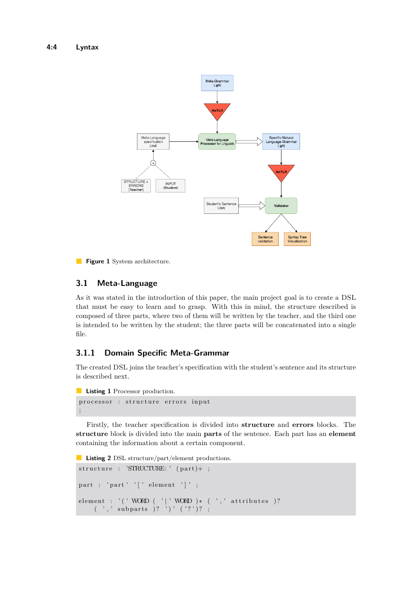<span id="page-3-0"></span>

**Figure 1** System architecture.

#### **3.1 Meta-Language**

As it was stated in the introduction of this paper, the main project goal is to create a DSL that must be easy to learn and to grasp. With this in mind, the structure described is composed of three parts, where two of them will be written by the teacher, and the third one is intended to be written by the student; the three parts will be concatenated into a single file.

### <span id="page-3-2"></span>**3.1.1 Domain Specific Meta-Grammar**

The created DSL joins the teacher's specification with the student's sentence and its structure is described next.

**Listing 1** Processor production. processor : structure errors input ;

Firstly, the teacher specification is divided into **structure** and **errors** blocks. The **structure** block is divided into the main **parts** of the sentence. Each part has an **element** containing the information about a certain component.

```
Listing 2 DSL structure/part/element productions.
```

```
structure: 'STRUCTURE: ' (part) + ;part : 'part' '[' element ']' ;
element : '(' WORD ( '|' WORD )* ( ',' attributes )?
    ( \cdot, \cdot \cdot \text{subparts} )? ')' ( \cdot ?') ;
```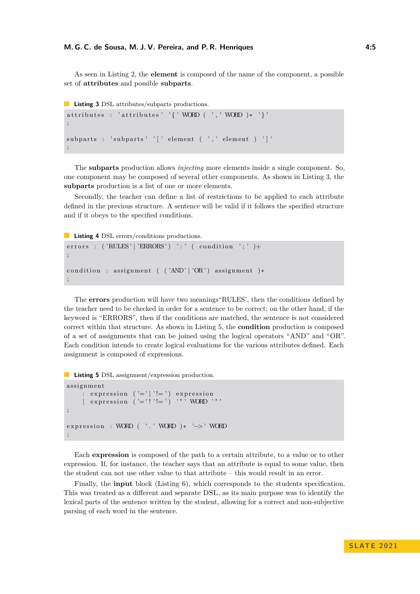As seen in [Listing 2,](#page-3-1) the **element** is composed of the name of the component, a possible set of **attributes** and possible **subparts**.

<span id="page-4-0"></span>**Listing 3** DSL attributes/subparts productions.

```
\text{attributes : 'attributes' } '\ wORD ( ', ' WORD )* '}'
;
subparts : 'subparts' ' [' element ('', ' element ') ' ]';
```
The **subparts** production allows *injecting* more elements inside a single component. So, one component may be composed of several other components. As shown in [Listing 3,](#page-4-0) the **subparts** production is a list of one or more elements.

Secondly, the teacher can define a list of restrictions to be applied to each attribute defined in the previous structure. A sentence will be valid if it follows the specified structure and if it obeys to the specified conditions.

**Listing 4** DSL errors/conditions productions.

```
errors : ('RULES' | 'ERRORS') ':' ( condition ';' )+
;
condition : assignment ( ('AND'|'OR') assignment )*
;
```
The **errors** production will have two meanings"RULES', then the conditions defined by the teacher need to be checked in order for a sentence to be correct; on the other hand, if the keyword is "ERRORS", then if the conditions are matched, the sentence is not considered correct within that structure. As shown in [Listing 5,](#page-4-1) the **condition** production is composed of a set of assignments that can be joined using the logical operators "AND" and "OR". Each condition intends to create logical evaluations for the various attributes defined. Each assignment is composed of expressions.

<span id="page-4-1"></span>**Listing 5** DSL assignment/expression production.

```
assignment
     : expression ( \equiv \mid \cdot\mid \equiv \cdot \mid expression
     | expression ( '='!'!=') '" ' WORD '" '
;
expression : WORD ( '.' WORD )∗ '\rightarrow' WORD
;
```
Each **expression** is composed of the path to a certain attribute, to a value or to other expression. If, for instance, the teacher says that an attribute is equal to some value, then the student can not use other value to that attribute – this would result in an error.

Finally, the **input** block [\(Listing 6\)](#page-5-0), which corresponds to the students specification. This was treated as a different and separate DSL, as its main purpose was to identify the lexical parts of the sentence written by the student, allowing for a correct and non-subjective parsing of each word in the sentence.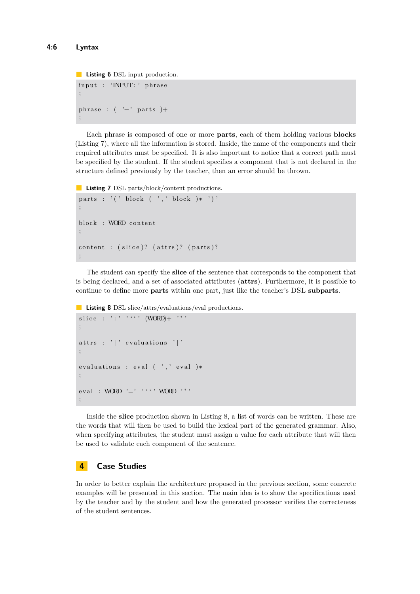```
Listing 6 DSL input production.
input : 'INPUT:' phrase
 ;
phrase : ( '-' parts )+
 ;
```
Each phrase is composed of one or more **parts**, each of them holding various **blocks** [\(Listing 7\)](#page-5-1), where all the information is stored. Inside, the name of the components and their required attributes must be specified. It is also important to notice that a correct path must be specified by the student. If the student specifies a component that is not declared in the structure defined previously by the teacher, then an error should be thrown.

<span id="page-5-1"></span>**Listing 7** DSL parts/block/content productions.

```
parts : '(' block (', ' block )*')'
;
block : WORD content
;
content : (slice)? (attrs)? (parts)?
;
```
The student can specify the **slice** of the sentence that corresponds to the component that is being declared, and a set of associated attributes (**attrs**). Furthermore, it is possible to continue to define more **parts** within one part, just like the teacher's DSL **subparts**.

<span id="page-5-2"></span>**Listing 8** DSL slice/attrs/evaluations/eval productions.

```
slice : ' : ' ' (WORD) + ' "
;
attrs : \left\{ \cdot \right. [ \left. \cdot \right. evaluations \left. \cdot \right. ] \left. \cdot \right.;
evaluations : eval ( ', ' eval )*;
eval : WORD '=' '''' WORD '"'
;
```
Inside the **slice** production shown in [Listing 8,](#page-5-2) a list of words can be written. These are the words that will then be used to build the lexical part of the generated grammar. Also, when specifying attributes, the student must assign a value for each attribute that will then be used to validate each component of the sentence.

### **4 Case Studies**

In order to better explain the architecture proposed in the previous section, some concrete examples will be presented in this section. The main idea is to show the specifications used by the teacher and by the student and how the generated processor verifies the correcteness of the student sentences.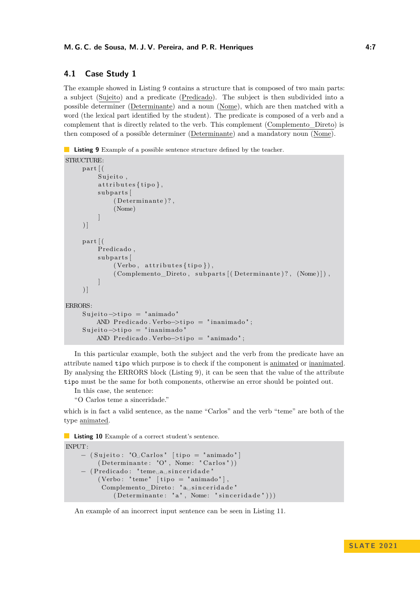#### **4.1 Case Study 1**

The example showed in [Listing 9](#page-6-0) contains a structure that is composed of two main parts: a subject (Sujeito) and a predicate (Predicado). The subject is then subdivided into a possible determiner (Determinante) and a noun (Nome), which are then matched with a word (the lexical part identified by the student). The predicate is composed of a verb and a complement that is directly related to the verb. This complement (Complemento Direto) is then composed of a possible determiner (Determinante) and a mandatory noun (Nome).

```
Listing 9 Example of a possible sentence structure defined by the teacher.
```

```
STRUCTURE:
     part (Sujeito,
           \text{attributes}\{\text{tipo}\},subparts [
                 ( Determinante ) ? ,
                 (Nome)
           ]
      )]
      part (Predicado ,
           subparts [
                 (Verbo, \text{ attributes} {\{ \text{ tipo } \}, \text{ }( Complemento_Direto, subparts [( Determinante ) ?, (Nome) ] ),
           ]
      )]
ERRORS:
      Sujeito \rightarrowtipo = "animado"
           AND Predicado . Verbo\rightarrowtipo = "inanimado";
      Su jeito \rightarrowtipo = "inanimado"
```
In this particular example, both the subject and the verb from the predicate have an attribute named tipo which purpose is to check if the component is animated or inanimated. By analysing the ERRORS block [\(Listing 9\)](#page-6-0), it can be seen that the value of the attribute tipo must be the same for both components, otherwise an error should be pointed out.

In this case, the sentence:

"O Carlos teme a sinceridade."

which is in fact a valid sentence, as the name "Carlos" and the verb "teme" are both of the type animated.

**Listing 10** Example of a correct student's sentence.

```
INPUT:
     - ( Sujeito: "O<sub>□</sub>Carlos" [tipo = "animado"]
          ( Determinante: "O", None: "Carlos"))− (Predicado: "teme<sub>∟a∟</sub>sinceridade"
          ( Verbo : " teme" [ \text{tipo} = \text{"animado"} ],
           Complemento_Direto: "ausinceridade"
               ( Determinante: "a", Nome: "sinceridade"))
```
AND Predicado . Verbo $\rightarrow$ tipo = "animado";

An example of an incorrect input sentence can be seen in [Listing 11.](#page-7-0)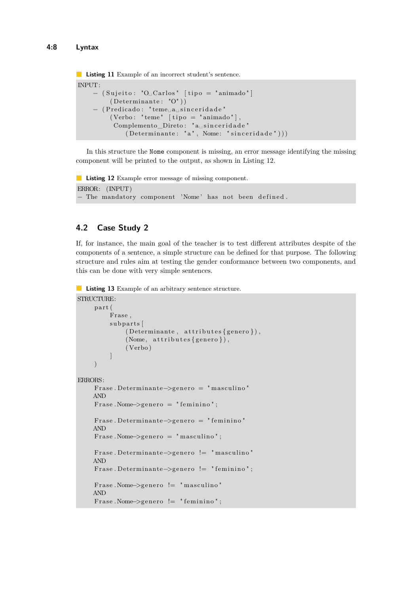```
Listing 11 Example of an incorrect student's sentence.
INPUT:
      - ( Sujeito: "O<sub>⊥</sub>Carlos" [tipo = "animado"]
          ( Determinante : "O" ) )
     − ( P redic ad o : " teme ␣ a ␣ s i n c e r i d a d e "
          ( Verbo : " teme" [ \ti tipo = " animado"],
            Complemento_Direto : "a_sinceridade"
                ( Determinante: "a", None: "sinceridade"))
```
In this structure the Nome component is missing, an error message identifying the missing component will be printed to the output, as shown in [Listing 12.](#page-7-1)

<span id="page-7-1"></span>**Listing 12** Example error message of missing component. ERROR: (INPUT) The mandatory component 'Nome' has not been defined.

### **4.2 Case Study 2**

If, for instance, the main goal of the teacher is to test different attributes despite of the components of a sentence, a simple structure can be defined for that purpose. The following structure and rules aim at testing the gender conformance between two components, and this can be done with very simple sentences.

**Listing 13** Example of an arbitrary sentence structure.

```
STRUCTURE:
     p a r t (
          Frase ,
          subparts [
               (Determinante, attributes {genero} ),(Nome, attributes {genero}),
               ( Verbo )
          ]
     )
ERRORS:
     Frase. Determinante\rightarrowgenero = "masculino"
     AND
     Frase. Nome\rightarrowgenero = "feminino";
     F r a se . Determinante−>gene r o = " f emi ni n o "
     AND
     F \text{rase}. Nome\Rightarrowgenero = "masculino";
     Frase. Determinante->genero != "masculino"
     AND
     Frase. Determinante\rightarrowgenero != "feminino";
     F r a se . Nome−>gene r o != " m a sculin o "
     AND
     Frase. Nome->genero != "feminino";
```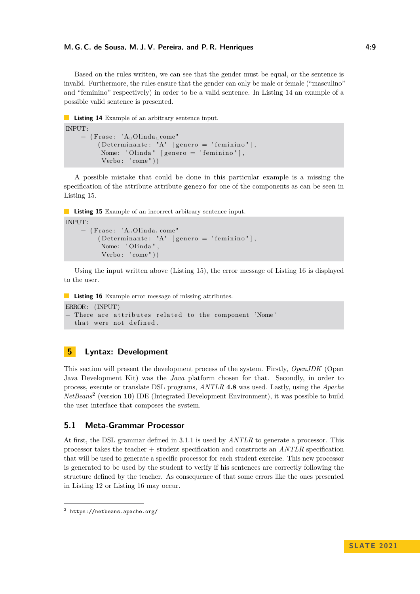#### **M. G. C. de Sousa, M. J. V. Pereira, and P. R. Henriques 4:9**

Based on the rules written, we can see that the gender must be equal, or the sentence is invalid. Furthermore, the rules ensure that the gender can only be male or female ("masculino" and "feminino" respectively) in order to be a valid sentence. In [Listing 14](#page-8-0) an example of a possible valid sentence is presented.

```
Listing 14 Example of an arbitrary sentence input.
INPUT:
      − ( F r a se : "A␣ Olinda ␣come "
          (Determinante: "A" [genero = "feminino"],
          Nome: "Olinda" [genero = "feminino"],
          Verbo: "come")
```
A possible mistake that could be done in this particular example is a missing the specification of the attribute attribute genero for one of the components as can be seen in [Listing 15.](#page-8-1)

<span id="page-8-1"></span>**Listing 15** Example of an incorrect arbitrary sentence input.

```
INPUT:
     − ( F r a se : "A␣ Olinda ␣come "
          ( Determinante : "A" \left[ genero = "feminino" \right],
           Nome: " Olinda " ,
           Verbo: "come"))
```
Using the input written above [\(Listing 15\)](#page-8-1), the error message of [Listing 16](#page-8-2) is displayed to the user.

<span id="page-8-2"></span>**Listing 16** Example error message of missing attributes.

```
ERROR: (INPUT)
 There are attributes related to the component 'Nome'
  that were not defined.
```
### **5 Lyntax: Development**

This section will present the development process of the system. Firstly, *OpenJDK* (Open Java Development Kit) was the *Java* platform chosen for that. Secondly, in order to process, execute or translate DSL programs, *ANTLR* **4.8** was used. Lastly, using the *Apache* NetBeans<sup>[2](#page-8-3)</sup> (version 10) IDE (Integrated Development Environment), it was possible to build the user interface that composes the system.

#### **5.1 Meta-Grammar Processor**

At first, the DSL grammar defined in [3.1.1](#page-3-2) is used by *ANTLR* to generate a processor. This processor takes the teacher + student specification and constructs an *ANTLR* specification that will be used to generate a specific processor for each student exercise. This new processor is generated to be used by the student to verify if his sentences are correctly following the structure defined by the teacher. As consequence of that some errors like the ones presented in [Listing 12](#page-7-1) or [Listing 16](#page-8-2) may occur.

<span id="page-8-3"></span> $^2$  <https://netbeans.apache.org/>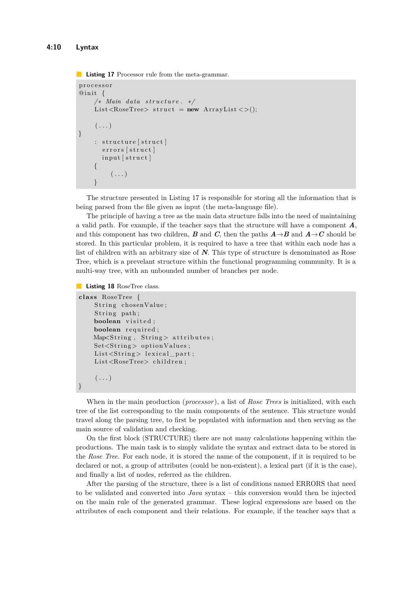<span id="page-9-0"></span>**Listing 17** Processor rule from the meta-grammar.

```
p r o c e s s o r
@init {
     /∗ Main d a t a s t r u c t u r e . ∗/
     List <RoseTree> struct = new ArrayList <>();
     (\ldots)}
     : structure [struct]
       errors [struct]
       input[struct]{
          (\ldots)}
```
The structure presented in [Listing 17](#page-9-0) is responsible for storing all the information that is being parsed from the file given as input (the meta-language file).

The principle of having a tree as the main data structure falls into the need of maintaining a valid path. For example, if the teacher says that the structure will have a component *A*, and this component has two children, *B* and *C*, then the paths  $A \rightarrow B$  and  $A \rightarrow C$  should be stored. In this particular problem, it is required to have a tree that within each node has a list of children with an arbitrary size of *N*. This type of structure is denominated as Rose Tree, which is a prevelant structure within the functional programming community. It is a multi-way tree, with an unbounded number of branches per node.

**Listing 18** RoseTree class.

```
c l a s s RoseTree {
    String chosenValue;
    String path;
    boolean visited;
    boolean required;
    Map<String, String> attributes;
    Set \leq String option Values;
    List <String > lexical_part;
    List<RoseTree> children;
     (\ldots)}
```
When in the main production (*processor*), a list of *Rose Trees* is initialized, with each tree of the list corresponding to the main components of the sentence. This structure would travel along the parsing tree, to first be populated with information and then serving as the main source of validation and checking.

On the first block (STRUCTURE) there are not many calculations happening within the productions. The main task is to simply validate the syntax and extract data to be stored in the *Rose Tree*. For each node, it is stored the name of the component, if it is required to be declared or not, a group of attributes (could be non-existent), a lexical part (if it is the case), and finally a list of nodes, referred as the children.

After the parsing of the structure, there is a list of conditions named ERRORS that need to be validated and converted into *Java* syntax – this conversion would then be injected on the main rule of the generated grammar. These logical expressions are based on the attributes of each component and their relations. For example, if the teacher says that a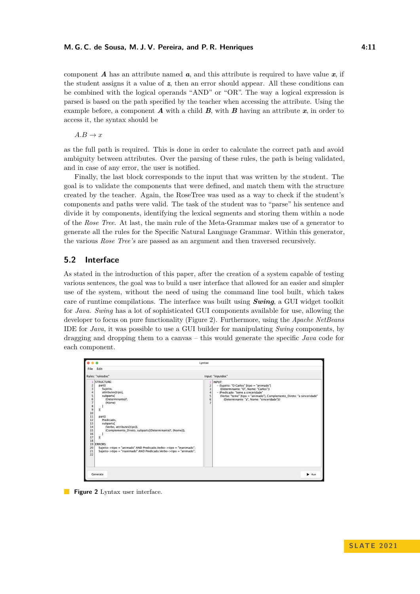component *A* has an attribute named *a*, and this attribute is required to have value *x*, if the student assigns it a value of *z*, then an error should appear. All these conditions can be combined with the logical operands "AND" or "OR". The way a logical expression is parsed is based on the path specified by the teacher when accessing the attribute. Using the example before, a component  $\boldsymbol{A}$  with a child  $\boldsymbol{B}$ , with  $\boldsymbol{B}$  having an attribute  $\boldsymbol{x}$ , in order to access it, the syntax should be

 $A.B \to x$ 

as the full path is required. This is done in order to calculate the correct path and avoid ambiguity between attributes. Over the parsing of these rules, the path is being validated, and in case of any error, the user is notified.

Finally, the last block corresponds to the input that was written by the student. The goal is to validate the components that were defined, and match them with the structure created by the teacher. Again, the RoseTree was used as a way to check if the student's components and paths were valid. The task of the student was to "parse" his sentence and divide it by components, identifying the lexical segments and storing them within a node of the *Rose Tree*. At last, the main rule of the Meta-Grammar makes use of a generator to generate all the rules for the Specific Natural Language Grammar. Within this generator, the various *Rose Tree's* are passed as an argument and then traversed recursively.

### **5.2 Interface**

As stated in the introduction of this paper, after the creation of a system capable of testing various sentences, the goal was to build a user interface that allowed for an easier and simpler use of the system, without the need of using the command line tool built, which takes care of runtime compilations. The interface was built using *Swing*, a GUI widget toolkit for *Java*. *Swing* has a lot of sophisticated GUI components available for use, allowing the developer to focus on pure functionality (Figure [2\)](#page-10-0). Furthermore, using the *Apache NetBeans* IDE for *Java*, it was possible to use a GUI builder for manipulating *Swing* components, by dragging and dropping them to a canvas – this would generate the specific *Java* code for each component.

<span id="page-10-0"></span>

**Figure 2** Lyntax user interface.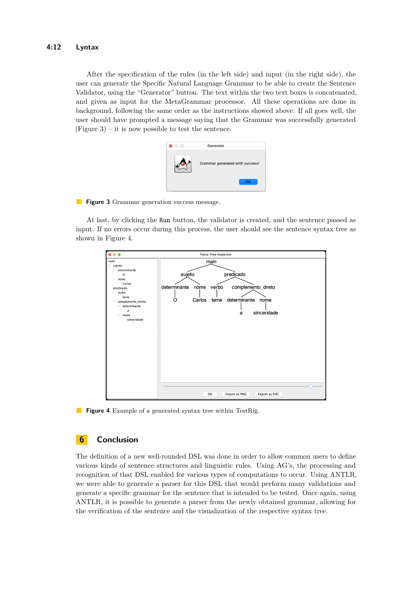After the specification of the rules (in the left side) and input (in the right side), the user can generate the Specific Natural Language Grammar to be able to create the Sentence Validator, using the "Generator" button. The text within the two text boxes is concatenated, and given as input for the MetaGrammar processor. All these operations are done in background, following the same order as the instructions showed above. If all goes well, the user should have prompted a message saying that the Grammar was successfully generated  $(Figure 3) - it is now possible to test the sentence.$  $(Figure 3) - it is now possible to test the sentence.$  $(Figure 3) - it is now possible to test the sentence.$ 

| Generate                        |
|---------------------------------|
| Grammar generated with success! |
| OK                              |

#### <span id="page-11-0"></span>**Figure 3** Grammar generation success message.

At last, by clicking the Run button, the validator is created, and the sentence passed as input. If no errors occur during this process, the user should see the sentence syntax tree as shown in Figure [4.](#page-11-1)

<span id="page-11-1"></span>

**Figure 4** Example of a generated syntax tree within TestRig.

#### **6 Conclusion**

The definition of a new well-rounded DSL was done in order to allow common users to define various kinds of sentence structures and linguistic rules. Using AG's, the processing and recognition of that DSL enabled for various types of computations to occur. Using ANTLR, we were able to generate a parser for this DSL that would perform many validations and generate a specific grammar for the sentence that is intended to be tested. Once again, using ANTLR, it is possible to generate a parser from the newly obtained grammar, allowing for the verification of the sentence and the visualization of the respective syntax tree.